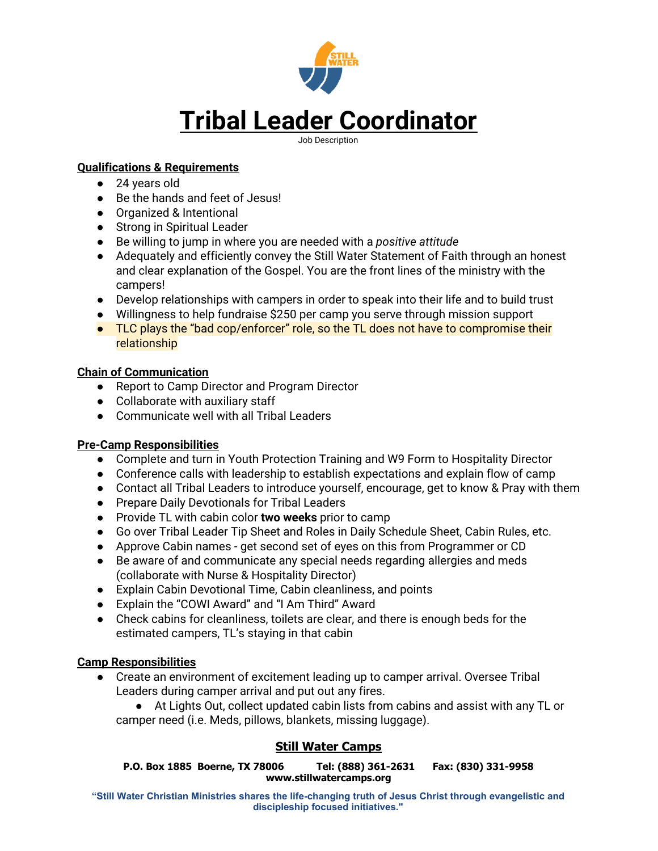

### **Qualifications & Requirements**

- 24 years old
- Be the hands and feet of Jesus!
- Organized & Intentional
- Strong in Spiritual Leader
- Be willing to jump in where you are needed with a *positive attitude*
- Adequately and efficiently convey the Still Water Statement of Faith through an honest and clear explanation of the Gospel. You are the front lines of the ministry with the campers!
- Develop relationships with campers in order to speak into their life and to build trust
- Willingness to help fundraise \$250 per camp you serve through mission support
- TLC plays the "bad cop/enforcer" role, so the TL does not have to compromise their relationship

### **Chain of Communication**

- Report to Camp Director and Program Director
- Collaborate with auxiliary staff
- Communicate well with all Tribal Leaders

# **Pre-Camp Responsibilities**

- Complete and turn in Youth Protection Training and W9 Form to Hospitality Director
- Conference calls with leadership to establish expectations and explain flow of camp
- Contact all Tribal Leaders to introduce yourself, encourage, get to know & Pray with them
- Prepare Daily Devotionals for Tribal Leaders
- Provide TL with cabin color **two weeks** prior to camp
- Go over Tribal Leader Tip Sheet and Roles in Daily Schedule Sheet, Cabin Rules, etc.
- Approve Cabin names get second set of eyes on this from Programmer or CD
- Be aware of and communicate any special needs regarding allergies and meds (collaborate with Nurse & Hospitality Director)
- Explain Cabin Devotional Time, Cabin cleanliness, and points
- Explain the "COWI Award" and "I Am Third" Award
- Check cabins for cleanliness, toilets are clear, and there is enough beds for the estimated campers, TL's staying in that cabin

# **Camp Responsibilities**

- Create an environment of excitement leading up to camper arrival. Oversee Tribal Leaders during camper arrival and put out any fires.
	- At Lights Out, collect updated cabin lists from cabins and assist with any TL or camper need (i.e. Meds, pillows, blankets, missing luggage).

# **Still Water Camps**

**P.O. Box 1885 Boerne, TX 78006 Tel: (888) 361-2631 Fax: (830) 331-9958 www.stillwatercamps.org**

**"Still Water Christian Ministries shares the life-changing truth of Jesus Christ through evangelistic and discipleship focused initiatives."**